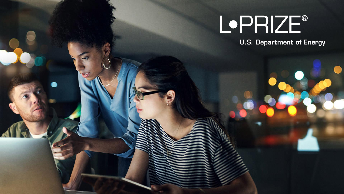

U.S. DEPARTMENT OF ENERGY OF ENERGY OF ENERGY AND THE STREET OF ENERGY ENERGY AND DESCRIPTIONS OF ENERGY AND DESCRIPTIONS OF ENERGY AND DESCRIPTIONS OF ENERGY AND DESCRIPTIONS OF ENERGY AND DESCRIPTIONS OF ENERGY AND DESCR

**U.S. Department of Energy**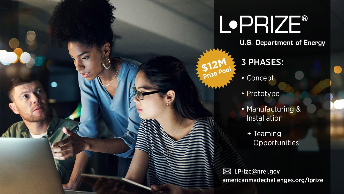# **L**•PRIZE®

**U.S. Department of Energy** 

#### **3 PHASES:**

• Concept

 $512000$ 

- Prototype
- Manufacturing & Installation
	- + Teaming Opportunities

⊠ LPrize@nrel.gov americanmadechallenges.org/lprize

U.S. DEPARTMENT OF ENERGY OF ENERGY OF ENERGY EFFICIENCY AND ALL PRIZE ENERGY AND DESCRIPTION OF ENERGY AND DE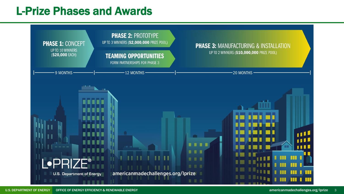#### L-Prize Phases and Awards

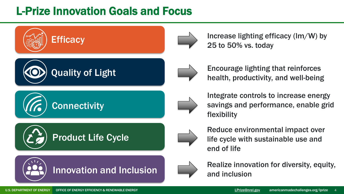## L-Prize Innovation Goals and Focus



Increase lighting efficacy (lm/W) by 25 to 50% vs. today



Encourage lighting that reinforces health, productivity, and well-being



Integrate controls to increase energy savings and performance, enable grid flexibility



Reduce environmental impact over life cycle with sustainable use and end of life



Realize innovation for diversity, equity, and inclusion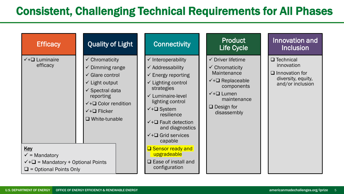### Consistent, Challenging Technical Requirements for All Phases

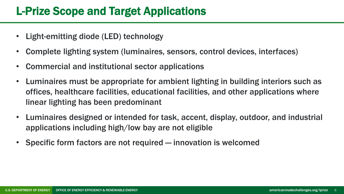#### L-Prize Scope and Target Applications

- Light-emitting diode (LED) technology
- Complete lighting system (luminaires, sensors, control devices, interfaces)
- Commercial and institutional sector applications
- Luminaires must be appropriate for ambient lighting in building interiors such as offices, healthcare facilities, educational facilities, and other applications where linear lighting has been predominant
- Luminaires designed or intended for task, accent, display, outdoor, and industrial applications including high/low bay are not eligible
- Specific form factors are not required innovation is welcomed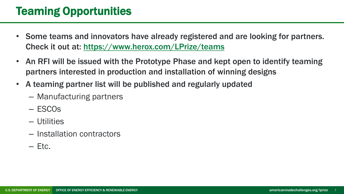### Teaming Opportunities

- Some teams and innovators have already registered and are looking for partners. Check it out at: <https://www.herox.com/LPrize/teams>
- An RFI will be issued with the Prototype Phase and kept open to identify teaming partners interested in production and installation of winning designs
- A teaming partner list will be published and regularly updated
	- Manufacturing partners
	- ESCOs
	- Utilities
	- Installation contractors
	- $-$  Etc.